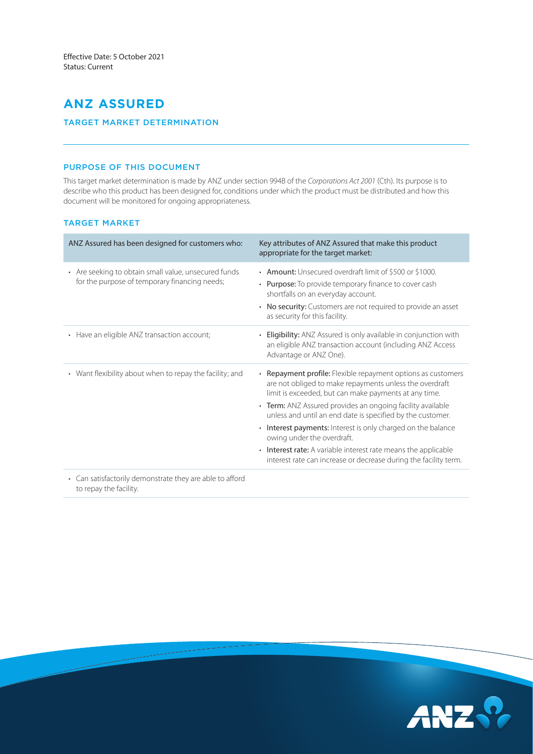# **ANZ ASSURED**

# TARGET MARKET DETERMINATION

## PURPOSE OF THIS DOCUMENT

This target market determination is made by ANZ under section 994B of the *Corporations Act 2001* (Cth). Its purpose is to describe who this product has been designed for, conditions under which the product must be distributed and how this document will be monitored for ongoing appropriateness.

## TARGET MARKET

| ANZ Assured has been designed for customers who:                                                      | Key attributes of ANZ Assured that make this product<br>appropriate for the target market:                                                                                                                                                                                                                                                                                                                                                                                                                                                                         |
|-------------------------------------------------------------------------------------------------------|--------------------------------------------------------------------------------------------------------------------------------------------------------------------------------------------------------------------------------------------------------------------------------------------------------------------------------------------------------------------------------------------------------------------------------------------------------------------------------------------------------------------------------------------------------------------|
| • Are seeking to obtain small value, unsecured funds<br>for the purpose of temporary financing needs; | • Amount: Unsecured overdraft limit of \$500 or \$1000.<br>• Purpose: To provide temporary finance to cover cash<br>shortfalls on an everyday account.<br>No security: Customers are not required to provide an asset<br>٠<br>as security for this facility.                                                                                                                                                                                                                                                                                                       |
| • Have an eligible ANZ transaction account;                                                           | Eligibility: ANZ Assured is only available in conjunction with<br>an eligible ANZ transaction account (including ANZ Access<br>Advantage or ANZ One).                                                                                                                                                                                                                                                                                                                                                                                                              |
| • Want flexibility about when to repay the facility; and                                              | • Repayment profile: Flexible repayment options as customers<br>are not obliged to make repayments unless the overdraft<br>limit is exceeded, but can make payments at any time.<br>• Term: ANZ Assured provides an ongoing facility available<br>unless and until an end date is specified by the customer.<br>• Interest payments: Interest is only charged on the balance<br>owing under the overdraft.<br><b>Interest rate:</b> A variable interest rate means the applicable<br>$\bullet$<br>interest rate can increase or decrease during the facility term. |
| Can satisfactorily demonstrate they are able to afford<br>to repay the facility.                      |                                                                                                                                                                                                                                                                                                                                                                                                                                                                                                                                                                    |

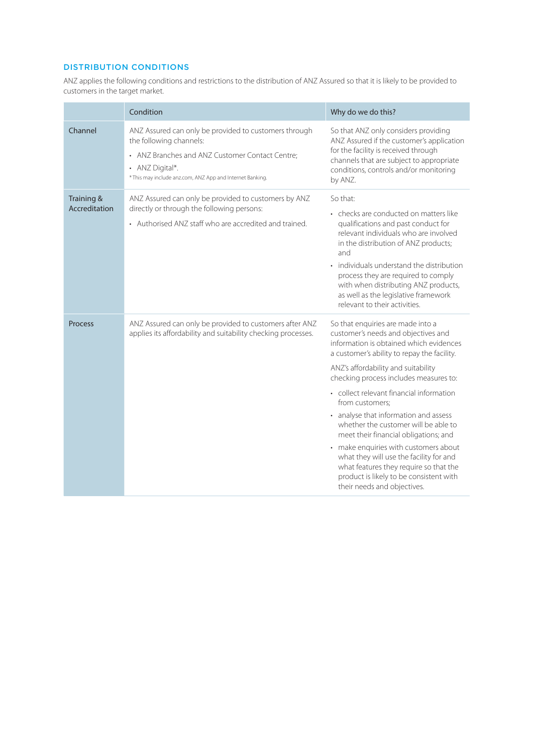# DISTRIBUTION CONDITIONS

ANZ applies the following conditions and restrictions to the distribution of ANZ Assured so that it is likely to be provided to customers in the target market.

|                             | Condition                                                                                                                                                                                                           | Why do we do this?                                                                                                                                                                                                                                                                                                                                                                                                                                                                                                                                                                                                                                   |  |
|-----------------------------|---------------------------------------------------------------------------------------------------------------------------------------------------------------------------------------------------------------------|------------------------------------------------------------------------------------------------------------------------------------------------------------------------------------------------------------------------------------------------------------------------------------------------------------------------------------------------------------------------------------------------------------------------------------------------------------------------------------------------------------------------------------------------------------------------------------------------------------------------------------------------------|--|
| Channel                     | ANZ Assured can only be provided to customers through<br>the following channels:<br>• ANZ Branches and ANZ Customer Contact Centre;<br>• ANZ Digital*.<br>* This may include anz.com, ANZ App and Internet Banking. | So that ANZ only considers providing<br>ANZ Assured if the customer's application<br>for the facility is received through<br>channels that are subject to appropriate<br>conditions, controls and/or monitoring<br>by ANZ.                                                                                                                                                                                                                                                                                                                                                                                                                           |  |
| Training &<br>Accreditation | ANZ Assured can only be provided to customers by ANZ<br>directly or through the following persons:<br>• Authorised ANZ staff who are accredited and trained.                                                        | So that:<br>• checks are conducted on matters like<br>qualifications and past conduct for<br>relevant individuals who are involved<br>in the distribution of ANZ products;<br>and<br>individuals understand the distribution<br>process they are required to comply<br>with when distributing ANZ products,<br>as well as the legislative framework<br>relevant to their activities.                                                                                                                                                                                                                                                                 |  |
| <b>Process</b>              | ANZ Assured can only be provided to customers after ANZ<br>applies its affordability and suitability checking processes.                                                                                            | So that enquiries are made into a<br>customer's needs and objectives and<br>information is obtained which evidences<br>a customer's ability to repay the facility.<br>ANZ's affordability and suitability<br>checking process includes measures to:<br>• collect relevant financial information<br>from customers;<br>• analyse that information and assess<br>whether the customer will be able to<br>meet their financial obligations; and<br>• make enquiries with customers about<br>what they will use the facility for and<br>what features they require so that the<br>product is likely to be consistent with<br>their needs and objectives. |  |